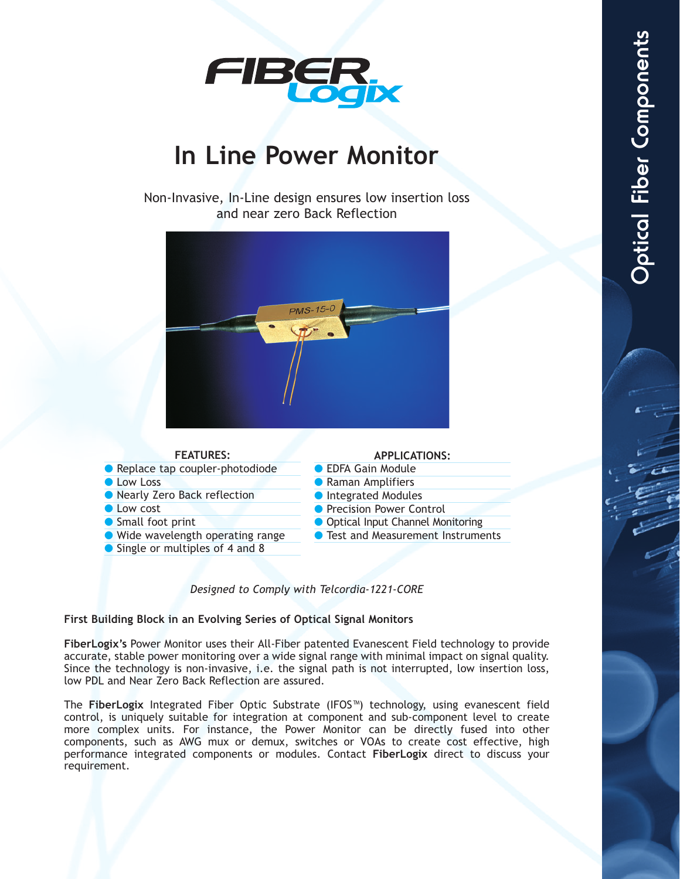

# **In Line Power Monitor**

## Non-Invasive, In-Line design ensures low insertion loss and near zero Back Reflection



### **FEATURES:**

● Replace tap coupler-photodiode

- **C** Low Loss
- Nearly Zero Back reflection
- Low cost
- Small foot print
- Wide wavelength operating range
- Single or multiples of 4 and 8

#### **APPLICATIONS:**

- EDFA Gain Module
- Raman Amplifiers
- Integrated Modules
- Precision Power Control
- Optical Input Channel Monitoring
- Test and Measurement Instruments

### *Designed to Comply with Telcordia-1221-CORE*

### **First Building Block in an Evolving Series of Optical Signal Monitors**

**FiberLogix's** Power Monitor uses their All-Fiber patented Evanescent Field technology to provide accurate, stable power monitoring over a wide signal range with minimal impact on signal quality. Since the technology is non-invasive, i.e. the signal path is not interrupted, low insertion loss, low PDL and Near Zero Back Reflection are assured.

The **FiberLogix** Integrated Fiber Optic Substrate (IFOS™) technology, using evanescent field control, is uniquely suitable for integration at component and sub-component level to create more complex units. For instance, the Power Monitor can be directly fused into other components, such as AWG mux or demux, switches or VOAs to create cost effective, high performance integrated components or modules. Contact **FiberLogix** direct to discuss your requirement.